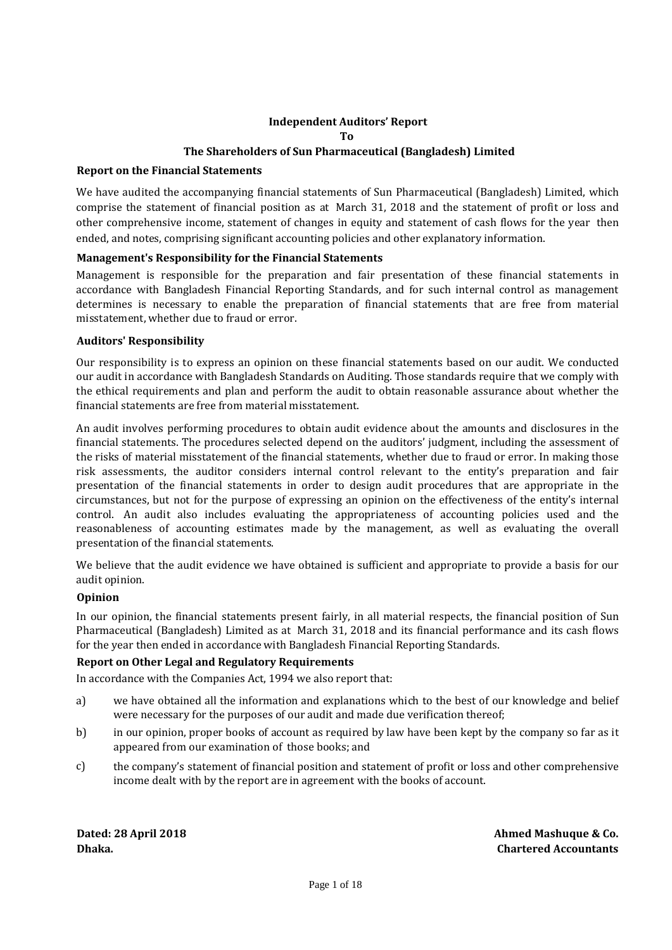# **Independent Auditors' Report To The Shareholders of Sun Pharmaceutical (Bangladesh) Limited**

# **Report on the Financial Statements**

We have audited the accompanying financial statements of Sun Pharmaceutical (Bangladesh) Limited, which comprise the statement of financial position as at March 31, 2018 and the statement of profit or loss and other comprehensive income, statement of changes in equity and statement of cash flows for the year then ended, and notes, comprising significant accounting policies and other explanatory information.

# **Management's Responsibility for the Financial Statements**

Management is responsible for the preparation and fair presentation of these financial statements in accordance with Bangladesh Financial Reporting Standards, and for such internal control as management determines is necessary to enable the preparation of financial statements that are free from material misstatement, whether due to fraud or error.

# **Auditors' Responsibility**

Our responsibility is to express an opinion on these financial statements based on our audit. We conducted our audit in accordance with Bangladesh Standards on Auditing. Those standards require that we comply with the ethical requirements and plan and perform the audit to obtain reasonable assurance about whether the financial statements are free from material misstatement.

An audit involves performing procedures to obtain audit evidence about the amounts and disclosures in the financial statements. The procedures selected depend on the auditors' judgment, including the assessment of the risks of material misstatement of the financial statements, whether due to fraud or error. In making those risk assessments, the auditor considers internal control relevant to the entity's preparation and fair presentation of the financial statements in order to design audit procedures that are appropriate in the circumstances, but not for the purpose of expressing an opinion on the effectiveness of the entity's internal control. An audit also includes evaluating the appropriateness of accounting policies used and the reasonableness of accounting estimates made by the management, as well as evaluating the overall presentation of the financial statements.

We believe that the audit evidence we have obtained is sufficient and appropriate to provide a basis for our audit opinion.

# **Opinion**

In our opinion, the financial statements present fairly, in all material respects, the financial position of Sun Pharmaceutical (Bangladesh) Limited as at March 31, 2018 and its financial performance and its cash flows for the year then ended in accordance with Bangladesh Financial Reporting Standards.

# **Report on Other Legal and Regulatory Requirements**

In accordance with the Companies Act, 1994 we also report that:

- a) we have obtained all the information and explanations which to the best of our knowledge and belief were necessary for the purposes of our audit and made due verification thereof;
- b) in our opinion, proper books of account as required by law have been kept by the company so far as it appeared from our examination of those books; and
- c) the company's statement of financial position and statement of profit or loss and other comprehensive income dealt with by the report are in agreement with the books of account.

**Dated: 28 April 2018 Ahmed Mashuque & Co. Dhaka. Chartered Accountants**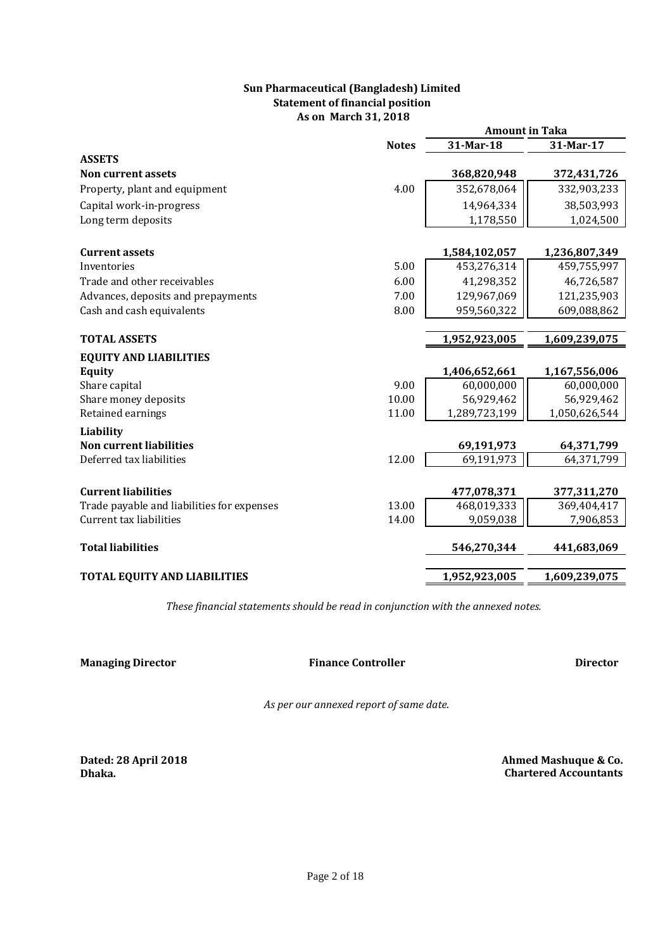# **Statement of financial position Sun Pharmaceutical (Bangladesh) Limited As on March 31, 2018**

|                                            |              | <b>Amount in Taka</b> |               |
|--------------------------------------------|--------------|-----------------------|---------------|
|                                            | <b>Notes</b> | 31-Mar-18             | 31-Mar-17     |
| <b>ASSETS</b>                              |              |                       |               |
| Non current assets                         |              | 368,820,948           | 372,431,726   |
| Property, plant and equipment              | 4.00         | 352,678,064           | 332,903,233   |
| Capital work-in-progress                   |              | 14,964,334            | 38,503,993    |
| Long term deposits                         |              | 1,178,550             | 1,024,500     |
|                                            |              |                       |               |
| <b>Current assets</b>                      |              | 1,584,102,057         | 1,236,807,349 |
| Inventories                                | 5.00         | 453,276,314           | 459,755,997   |
| Trade and other receivables                | 6.00         | 41,298,352            | 46,726,587    |
| Advances, deposits and prepayments         | 7.00         | 129,967,069           | 121,235,903   |
| Cash and cash equivalents                  | 8.00         | 959,560,322           | 609,088,862   |
|                                            |              |                       |               |
| <b>TOTAL ASSETS</b>                        |              | 1,952,923,005         | 1,609,239,075 |
| <b>EQUITY AND LIABILITIES</b>              |              |                       |               |
| Equity                                     |              | 1,406,652,661         | 1,167,556,006 |
| Share capital                              | 9.00         | 60,000,000            | 60,000,000    |
| Share money deposits                       | 10.00        | 56,929,462            | 56,929,462    |
| Retained earnings                          | 11.00        | 1,289,723,199         | 1,050,626,544 |
| Liability                                  |              |                       |               |
| <b>Non current liabilities</b>             |              | 69,191,973            | 64,371,799    |
| Deferred tax liabilities                   | 12.00        | 69,191,973            | 64,371,799    |
|                                            |              |                       |               |
| <b>Current liabilities</b>                 |              | 477,078,371           | 377,311,270   |
| Trade payable and liabilities for expenses | 13.00        | 468,019,333           | 369,404,417   |
| Current tax liabilities                    | 14.00        | 9,059,038             | 7,906,853     |
| <b>Total liabilities</b>                   |              | 546,270,344           | 441,683,069   |
| <b>TOTAL EQUITY AND LIABILITIES</b>        |              | 1,952,923,005         | 1,609,239,075 |

*These financial statements should be read in conjunction with the annexed notes.* 

**Managing Director Director Director Director Director Director** 

**Finance Controller**

*As per our annexed report of same date.*

**Dated: 28 April 2018 Dhaka.**

 **Ahmed Mashuque & Co. Chartered Accountants**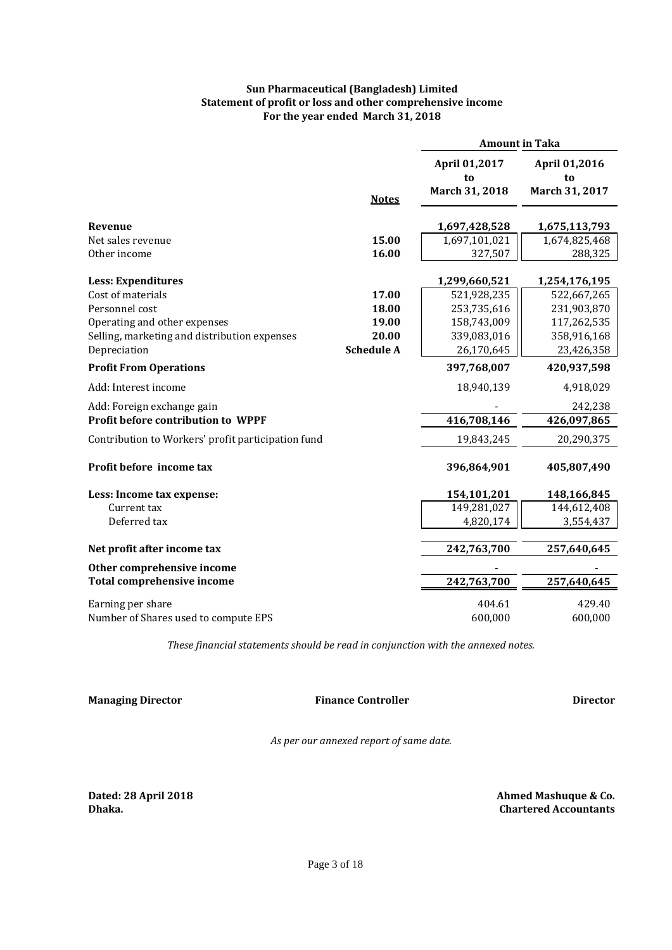# **Sun Pharmaceutical (Bangladesh) Limited Statement of profit or loss and other comprehensive income For the year ended March 31, 2018**

|                                                    |                   | <b>Amount in Taka</b>                 |                                       |
|----------------------------------------------------|-------------------|---------------------------------------|---------------------------------------|
|                                                    |                   | April 01,2017<br>to<br>March 31, 2018 | April 01,2016<br>to<br>March 31, 2017 |
|                                                    | <b>Notes</b>      |                                       |                                       |
| Revenue                                            |                   | 1,697,428,528                         | 1,675,113,793                         |
| Net sales revenue                                  | 15.00             | 1,697,101,021                         | 1,674,825,468                         |
| Other income                                       | 16.00             | 327,507                               | 288,325                               |
|                                                    |                   |                                       |                                       |
| <b>Less: Expenditures</b><br>Cost of materials     | 17.00             | 1,299,660,521<br>521,928,235          | 1,254,176,195                         |
| Personnel cost                                     | 18.00             | 253,735,616                           | 522,667,265<br>231,903,870            |
| Operating and other expenses                       | 19.00             | 158,743,009                           | 117,262,535                           |
| Selling, marketing and distribution expenses       | 20.00             | 339,083,016                           | 358,916,168                           |
| Depreciation                                       | <b>Schedule A</b> | 26,170,645                            | 23,426,358                            |
| <b>Profit From Operations</b>                      |                   | 397,768,007                           | 420,937,598                           |
| Add: Interest income                               |                   | 18,940,139                            | 4,918,029                             |
| Add: Foreign exchange gain                         |                   |                                       | 242,238                               |
| Profit before contribution to WPPF                 |                   | 416,708,146                           | 426,097,865                           |
| Contribution to Workers' profit participation fund |                   | 19,843,245                            | 20,290,375                            |
| Profit before income tax                           |                   | 396,864,901                           | 405,807,490                           |
| Less: Income tax expense:                          |                   | 154,101,201                           | 148,166,845                           |
| Current tax                                        |                   | 149,281,027                           | 144,612,408                           |
| Deferred tax                                       |                   | 4,820,174                             | 3,554,437                             |
| Net profit after income tax                        |                   | 242,763,700                           | 257,640,645                           |
| Other comprehensive income                         |                   |                                       |                                       |
| <b>Total comprehensive income</b>                  |                   | 242,763,700                           | 257,640,645                           |
| Earning per share                                  |                   | 404.61                                | 429.40                                |
| Number of Shares used to compute EPS               |                   | 600,000                               | 600,000                               |

*These financial statements should be read in conjunction with the annexed notes.*

**Managing Director Director Director Director Director** 

**Finance Controller**

*As per our annexed report of same date.*

**Dated: 28 April 2018 Dhaka.**

 **Chartered Accountants Ahmed Mashuque & Co.**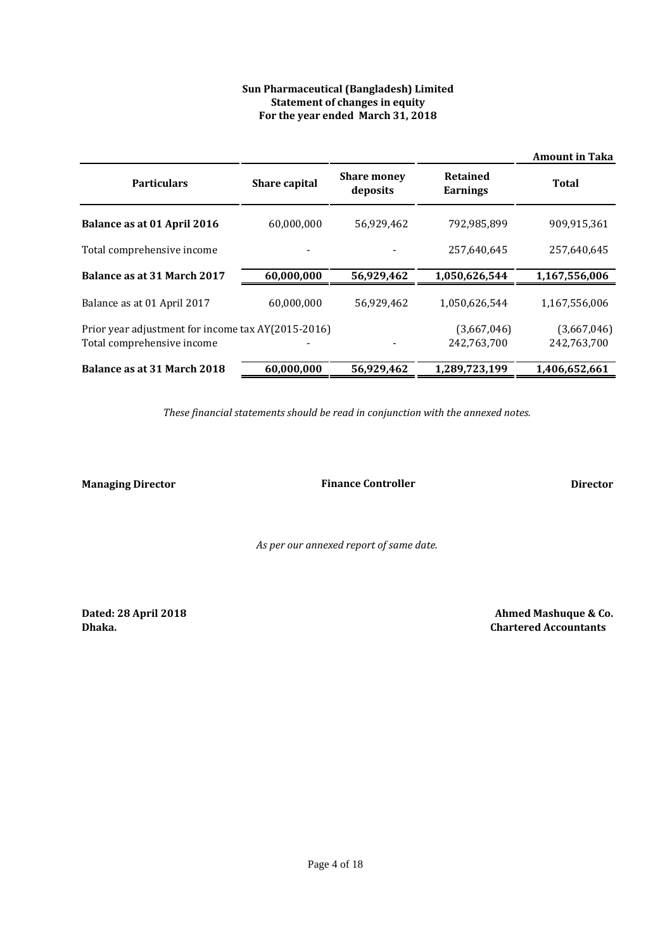# **Sun Pharmaceutical (Bangladesh) Limited Statement of changes in equity For the year ended March 31, 2018**

|                                                                                  |               |                                |                                    | <b>Amount in Taka</b>      |
|----------------------------------------------------------------------------------|---------------|--------------------------------|------------------------------------|----------------------------|
| <b>Particulars</b>                                                               | Share capital | <b>Share money</b><br>deposits | <b>Retained</b><br><b>Earnings</b> | Total                      |
| Balance as at 01 April 2016                                                      | 60,000,000    | 56,929,462                     | 792,985,899                        | 909,915,361                |
| Total comprehensive income                                                       |               |                                | 257,640,645                        | 257,640,645                |
| Balance as at 31 March 2017                                                      | 60,000,000    | 56,929,462                     | 1,050,626,544                      | 1,167,556,006              |
| Balance as at 01 April 2017                                                      | 60.000.000    | 56,929,462                     | 1.050.626.544                      | 1,167,556,006              |
| Prior year adjustment for income tax AY(2015-2016)<br>Total comprehensive income |               |                                | (3,667,046)<br>242,763,700         | (3,667,046)<br>242,763,700 |
| Balance as at 31 March 2018                                                      | 60,000,000    | 56,929,462                     | 1,289,723,199                      | 1,406,652,661              |

*These financial statements should be read in conjunction with the annexed notes.*

**Managing Director Director Director Director Director Finance Controller**

*As per our annexed report of same date.*

**Dated: 28 April 2018 Dhaka.**

 **Ahmed Mashuque & Co. Chartered Accountants**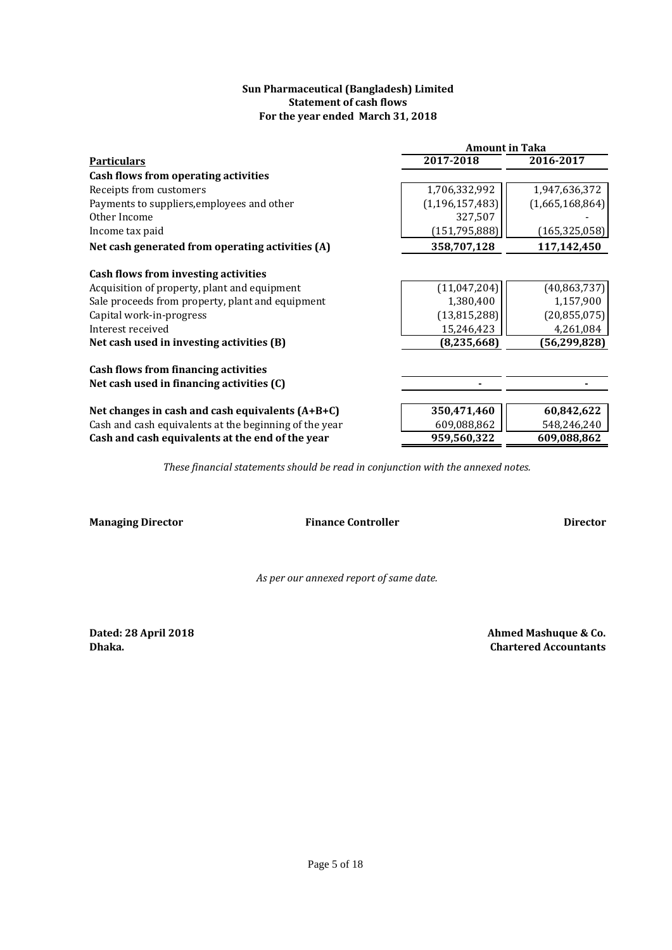# **Sun Pharmaceutical (Bangladesh) Limited Statement of cash flows For the year ended March 31, 2018**

|                                                        | <b>Amount in Taka</b> |                 |  |  |
|--------------------------------------------------------|-----------------------|-----------------|--|--|
| <b>Particulars</b>                                     | $2017 - 2018$         | 2016-2017       |  |  |
| Cash flows from operating activities                   |                       |                 |  |  |
| Receipts from customers                                | 1,706,332,992         | 1,947,636,372   |  |  |
| Payments to suppliers, employees and other             | (1, 196, 157, 483)    | (1,665,168,864) |  |  |
| Other Income                                           | 327,507               |                 |  |  |
| Income tax paid                                        | (151, 795, 888)       | (165, 325, 058) |  |  |
| Net cash generated from operating activities (A)       | 358,707,128           | 117,142,450     |  |  |
| Cash flows from investing activities                   |                       |                 |  |  |
| Acquisition of property, plant and equipment           | (11,047,204)          | (40, 863, 737)  |  |  |
| Sale proceeds from property, plant and equipment       | 1,380,400             | 1,157,900       |  |  |
| Capital work-in-progress                               | (13, 815, 288)        | (20, 855, 075)  |  |  |
| Interest received                                      | 15,246,423            | 4,261,084       |  |  |
| Net cash used in investing activities (B)              | (8, 235, 668)         | (56, 299, 828)  |  |  |
| Cash flows from financing activities                   |                       |                 |  |  |
| Net cash used in financing activities (C)              |                       |                 |  |  |
| Net changes in cash and cash equivalents $(A+B+C)$     | 350,471,460           | 60,842,622      |  |  |
| Cash and cash equivalents at the beginning of the year | 609,088,862           | 548,246,240     |  |  |
| Cash and cash equivalents at the end of the year       | 959,560,322           | 609,088,862     |  |  |

*These financial statements should be read in conjunction with the annexed notes.*

**Managing Director Director Director Director Director Finance Controller**

*As per our annexed report of same date.*

**Dated: 28 April 2018**

**Dhaka. Chartered Accountants Ahmed Mashuque & Co.**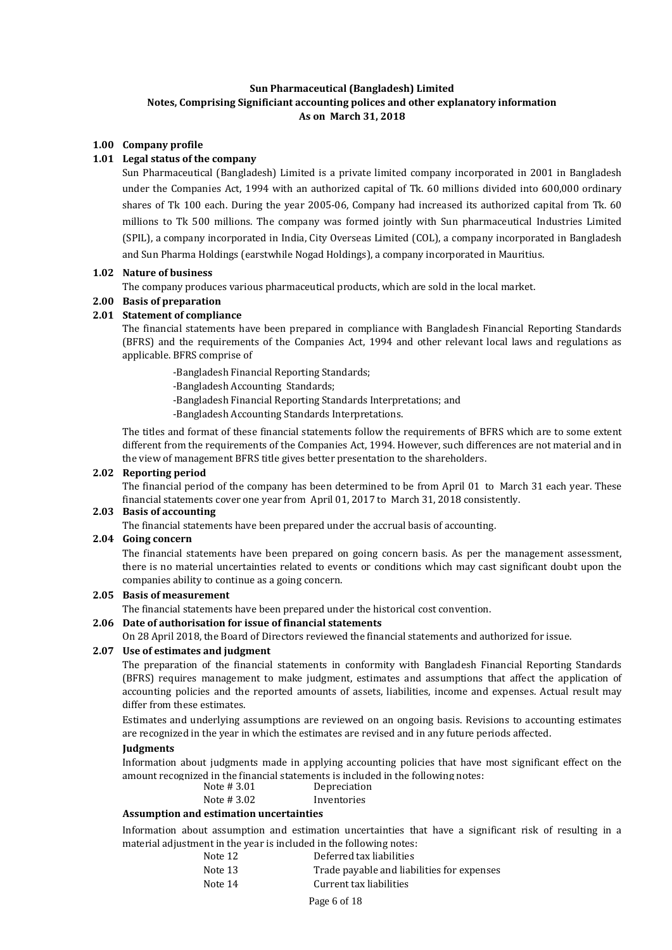# **Sun Pharmaceutical (Bangladesh) Limited Notes, Comprising Significiant accounting polices and other explanatory information As on March 31, 2018**

## **1.00 Company profile**

## **1.01 Legal status of the company**

Sun Pharmaceutical (Bangladesh) Limited is a private limited company incorporated in 2001 in Bangladesh under the Companies Act, 1994 with an authorized capital of Tk. 60 millions divided into 600,000 ordinary shares of Tk 100 each. During the year 2005-06, Company had increased its authorized capital from Tk. 60 millions to Tk 500 millions. The company was formed jointly with Sun pharmaceutical Industries Limited (SPIL), a company incorporated in India, City Overseas Limited (COL), a company incorporated in Bangladesh and Sun Pharma Holdings (earstwhile Nogad Holdings), a company incorporated in Mauritius.

#### **1.02 Nature of business**

The company produces various pharmaceutical products, which are sold in the local market.

### **2.00 Basis of preparation**

# **2.01 Statement of compliance**

The financial statements have been prepared in compliance with Bangladesh Financial Reporting Standards (BFRS) and the requirements of the Companies Act, 1994 and other relevant local laws and regulations as applicable. BFRS comprise of

- -Bangladesh Financial Reporting Standards;
- -Bangladesh Accounting Standards;
- -Bangladesh Financial Reporting Standards Interpretations; and
- -Bangladesh Accounting Standards Interpretations.

The titles and format of these financial statements follow the requirements of BFRS which are to some extent different from the requirements of the Companies Act, 1994. However, such differences are not material and in the view of management BFRS title gives better presentation to the shareholders.

### **2.02 Reporting period**

The financial period of the company has been determined to be from April 01 to March 31 each year. These financial statements cover one year from April 01, 2017 to March 31, 2018 consistently.

# **2.03 Basis of accounting**

The financial statements have been prepared under the accrual basis of accounting.

#### **2.04 Going concern**

The financial statements have been prepared on going concern basis. As per the management assessment, there is no material uncertainties related to events or conditions which may cast significant doubt upon the companies ability to continue as a going concern.

### **2.05 Basis of measurement**

The financial statements have been prepared under the historical cost convention.

### **2.06 Date of authorisation for issue of financial statements**

On 28 April 2018, the Board of Directors reviewed the financial statements and authorized for issue.

## **2.07 Use of estimates and judgment**

The preparation of the financial statements in conformity with Bangladesh Financial Reporting Standards (BFRS) requires management to make judgment, estimates and assumptions that affect the application of accounting policies and the reported amounts of assets, liabilities, income and expenses. Actual result may differ from these estimates.

Estimates and underlying assumptions are reviewed on an ongoing basis. Revisions to accounting estimates are recognized in the year in which the estimates are revised and in any future periods affected.

## **Judgments**

Information about judgments made in applying accounting policies that have most significant effect on the amount recognized in the financial statements is included in the following notes:

| Note #3.01 | Depreciation |
|------------|--------------|
| Note #3.02 | Inventories  |

## **Assumption and estimation uncertainties**

Information about assumption and estimation uncertainties that have a significant risk of resulting in a material adjustment in the year is included in the following notes:

|  | Note 12 | Deferred tax liabilities |
|--|---------|--------------------------|
|--|---------|--------------------------|

Note 13 Trade payable and liabilities for expenses Note 14 Current tax liabilities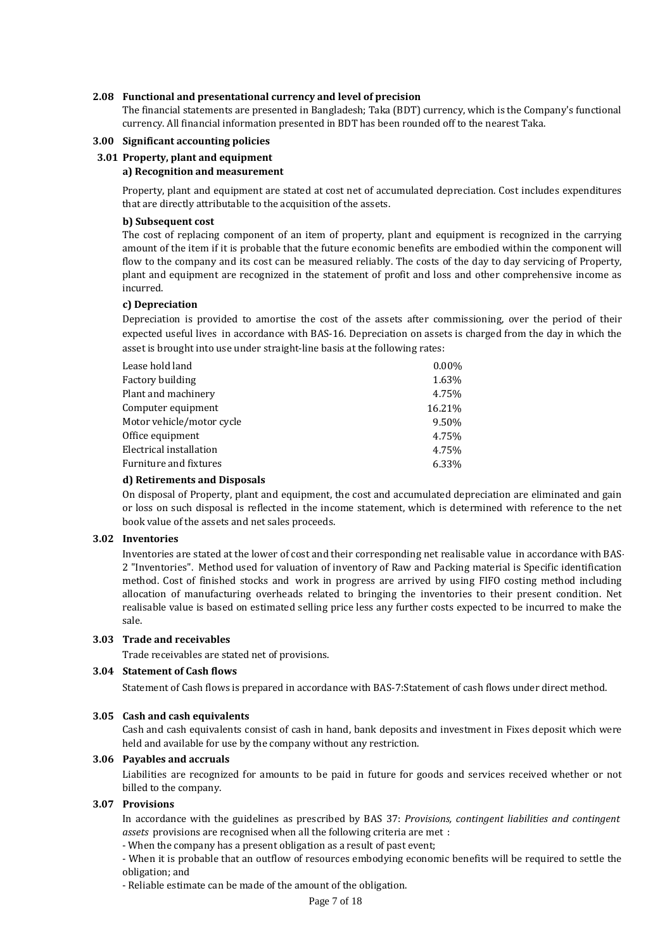## **2.08 Functional and presentational currency and level of precision**

The financial statements are presented in Bangladesh; Taka (BDT) currency, which is the Company's functional currency. All financial information presented in BDT has been rounded off to the nearest Taka.

## **3.00 Significant accounting policies**

### **3.01 Property, plant and equipment**

### **a) Recognition and measurement**

Property, plant and equipment are stated at cost net of accumulated depreciation. Cost includes expenditures that are directly attributable to the acquisition of the assets.

### **b) Subsequent cost**

The cost of replacing component of an item of property, plant and equipment is recognized in the carrying amount of the item if it is probable that the future economic benefits are embodied within the component will flow to the company and its cost can be measured reliably. The costs of the day to day servicing of Property, plant and equipment are recognized in the statement of profit and loss and other comprehensive income as incurred.

### **c) Depreciation**

Depreciation is provided to amortise the cost of the assets after commissioning, over the period of their expected useful lives in accordance with BAS-16. Depreciation on assets is charged from the day in which the asset is brought into use under straight-line basis at the following rates:

| Lease hold land           | $0.00\%$ |
|---------------------------|----------|
| Factory building          | 1.63%    |
| Plant and machinery       | 4.75%    |
| Computer equipment        | 16.21%   |
| Motor vehicle/motor cycle | 9.50%    |
| Office equipment          | 4.75%    |
| Electrical installation   | 4.75%    |
| Furniture and fixtures    | 6.33%    |

### **d) Retirements and Disposals**

On disposal of Property, plant and equipment, the cost and accumulated depreciation are eliminated and gain or loss on such disposal is reflected in the income statement, which is determined with reference to the net book value of the assets and net sales proceeds.

### **3.02 Inventories**

Inventories are stated at the lower of cost and their corresponding net realisable value in accordance with BAS-2 "Inventories". Method used for valuation of inventory of Raw and Packing material is Specific identification method. Cost of finished stocks and work in progress are arrived by using FIFO costing method including allocation of manufacturing overheads related to bringing the inventories to their present condition. Net realisable value is based on estimated selling price less any further costs expected to be incurred to make the sale.

### **3.03 Trade and receivables**

Trade receivables are stated net of provisions.

# **3.04 Statement of Cash flows**

Statement of Cash flows is prepared in accordance with BAS-7:Statement of cash flows under direct method.

#### **3.05 Cash and cash equivalents**

Cash and cash equivalents consist of cash in hand, bank deposits and investment in Fixes deposit which were held and available for use by the company without any restriction.

## **3.06 Payables and accruals**

Liabilities are recognized for amounts to be paid in future for goods and services received whether or not billed to the company.

#### **3.07 Provisions**

In accordance with the guidelines as prescribed by BAS 37: *Provisions, contingent liabilities and contingent assets* provisions are recognised when all the following criteria are met :

- When the company has a present obligation as a result of past event;

- When it is probable that an outflow of resources embodying economic benefits will be required to settle the obligation; and

- Reliable estimate can be made of the amount of the obligation.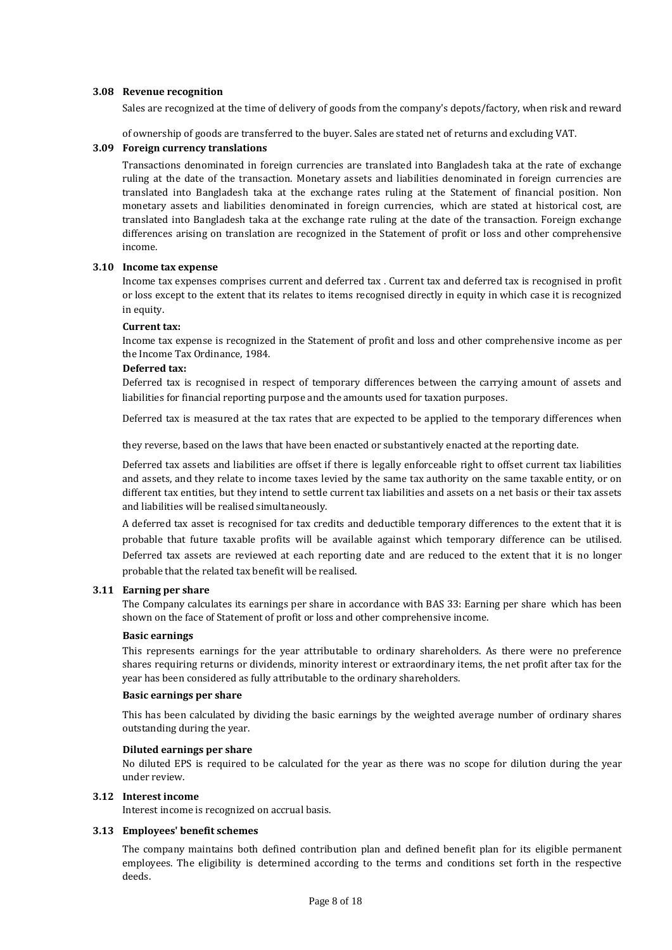### **3.08 Revenue recognition**

Sales are recognized at the time of delivery of goods from the company's depots/factory, when risk and reward

of ownership of goods are transferred to the buyer. Sales are stated net of returns and excluding VAT.

### **3.09 Foreign currency translations**

Transactions denominated in foreign currencies are translated into Bangladesh taka at the rate of exchange ruling at the date of the transaction. Monetary assets and liabilities denominated in foreign currencies are translated into Bangladesh taka at the exchange rates ruling at the Statement of financial position. Non monetary assets and liabilities denominated in foreign currencies, which are stated at historical cost, are translated into Bangladesh taka at the exchange rate ruling at the date of the transaction. Foreign exchange differences arising on translation are recognized in the Statement of profit or loss and other comprehensive income.

# **3.10 Income tax expense**

Income tax expenses comprises current and deferred tax . Current tax and deferred tax is recognised in profit or loss except to the extent that its relates to items recognised directly in equity in which case it is recognized in equity.

### **Current tax:**

Income tax expense is recognized in the Statement of profit and loss and other comprehensive income as per the Income Tax Ordinance, 1984.

## **Deferred tax:**

Deferred tax is recognised in respect of temporary differences between the carrying amount of assets and liabilities for financial reporting purpose and the amounts used for taxation purposes.

Deferred tax is measured at the tax rates that are expected to be applied to the temporary differences when

they reverse, based on the laws that have been enacted or substantively enacted at the reporting date.

Deferred tax assets and liabilities are offset if there is legally enforceable right to offset current tax liabilities and assets, and they relate to income taxes levied by the same tax authority on the same taxable entity, or on different tax entities, but they intend to settle current tax liabilities and assets on a net basis or their tax assets and liabilities will be realised simultaneously.

A deferred tax asset is recognised for tax credits and deductible temporary differences to the extent that it is probable that future taxable profits will be available against which temporary difference can be utilised. Deferred tax assets are reviewed at each reporting date and are reduced to the extent that it is no longer probable that the related tax benefit will be realised.

### **3.11 Earning per share**

The Company calculates its earnings per share in accordance with BAS 33: Earning per share which has been shown on the face of Statement of profit or loss and other comprehensive income.

### **Basic earnings**

This represents earnings for the year attributable to ordinary shareholders. As there were no preference shares requiring returns or dividends, minority interest or extraordinary items, the net profit after tax for the year has been considered as fully attributable to the ordinary shareholders.

### **Basic earnings per share**

This has been calculated by dividing the basic earnings by the weighted average number of ordinary shares outstanding during the year.

### **Diluted earnings per share**

No diluted EPS is required to be calculated for the year as there was no scope for dilution during the year under review.

## **3.12 Interest income**

Interest income is recognized on accrual basis.

### **3.13 Employees' benefit schemes**

The company maintains both defined contribution plan and defined benefit plan for its eligible permanent employees. The eligibility is determined according to the terms and conditions set forth in the respective deeds.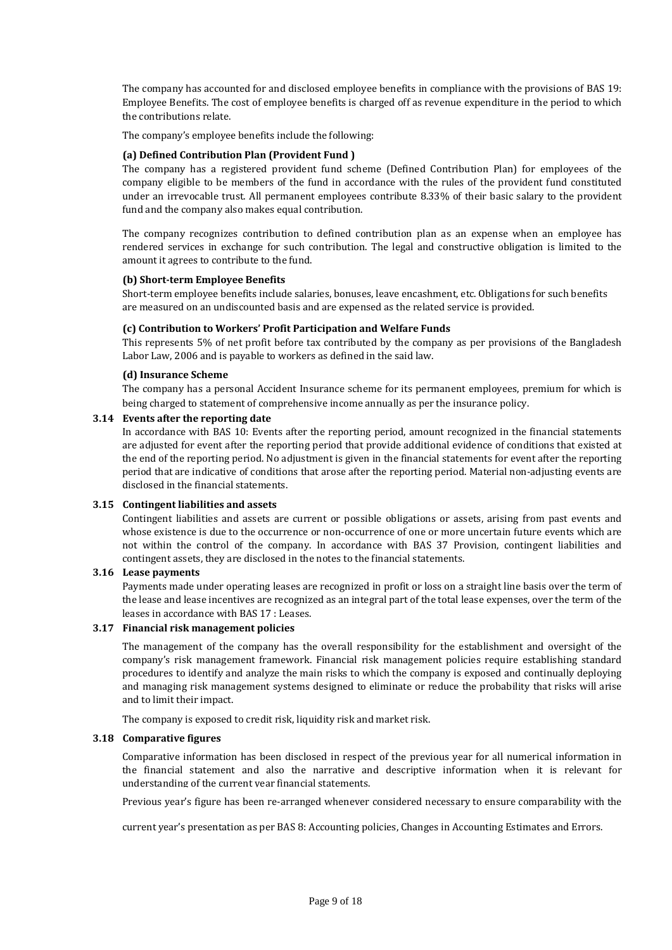The company has accounted for and disclosed employee benefits in compliance with the provisions of BAS 19: Employee Benefits. The cost of employee benefits is charged off as revenue expenditure in the period to which the contributions relate.

The company's employee benefits include the following:

## **(a) Defined Contribution Plan (Provident Fund )**

The company has a registered provident fund scheme (Defined Contribution Plan) for employees of the company eligible to be members of the fund in accordance with the rules of the provident fund constituted under an irrevocable trust. All permanent employees contribute 8.33% of their basic salary to the provident fund and the company also makes equal contribution.

The company recognizes contribution to defined contribution plan as an expense when an employee has rendered services in exchange for such contribution. The legal and constructive obligation is limited to the amount it agrees to contribute to the fund.

### **(b) Short-term Employee Benefits**

Short-term employee benefits include salaries, bonuses, leave encashment, etc. Obligations for such benefits are measured on an undiscounted basis and are expensed as the related service is provided.

### **(c) Contribution to Workers' Profit Participation and Welfare Funds**

This represents 5% of net profit before tax contributed by the company as per provisions of the Bangladesh Labor Law, 2006 and is payable to workers as defined in the said law.

### **(d) Insurance Scheme**

The company has a personal Accident Insurance scheme for its permanent employees, premium for which is being charged to statement of comprehensive income annually as per the insurance policy.

### **3.14 Events after the reporting date**

In accordance with BAS 10: Events after the reporting period, amount recognized in the financial statements are adjusted for event after the reporting period that provide additional evidence of conditions that existed at the end of the reporting period. No adjustment is given in the financial statements for event after the reporting period that are indicative of conditions that arose after the reporting period. Material non-adjusting events are disclosed in the financial statements.

### **3.15 Contingent liabilities and assets**

Contingent liabilities and assets are current or possible obligations or assets, arising from past events and whose existence is due to the occurrence or non-occurrence of one or more uncertain future events which are not within the control of the company. In accordance with BAS 37 Provision, contingent liabilities and contingent assets, they are disclosed in the notes to the financial statements.

## **3.16 Lease payments**

Payments made under operating leases are recognized in profit or loss on a straight line basis over the term of the lease and lease incentives are recognized as an integral part of the total lease expenses, over the term of the leases in accordance with BAS 17 : Leases.

# **3.17 Financial risk management policies**

The management of the company has the overall responsibility for the establishment and oversight of the company's risk management framework. Financial risk management policies require establishing standard procedures to identify and analyze the main risks to which the company is exposed and continually deploying and managing risk management systems designed to eliminate or reduce the probability that risks will arise and to limit their impact.

The company is exposed to credit risk, liquidity risk and market risk.

### **3.18 Comparative figures**

Comparative information has been disclosed in respect of the previous year for all numerical information in the financial statement and also the narrative and descriptive information when it is relevant for understanding of the current year financial statements.

Previous year's figure has been re-arranged whenever considered necessary to ensure comparability with the

current year's presentation as per BAS 8: Accounting policies, Changes in Accounting Estimates and Errors.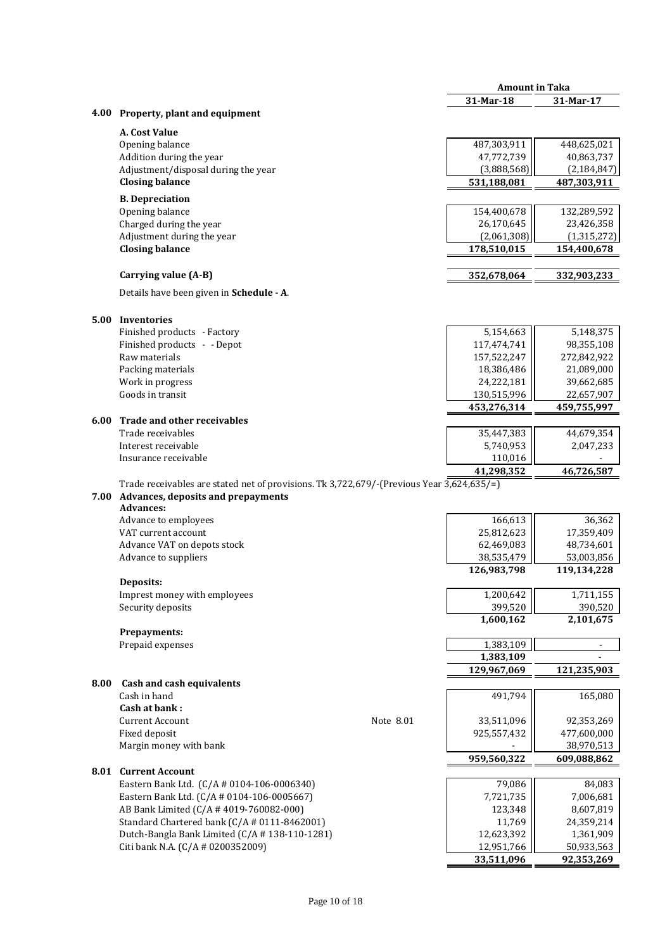|      |                                                                                           |           | <b>Amount in Taka</b>     |               |
|------|-------------------------------------------------------------------------------------------|-----------|---------------------------|---------------|
|      |                                                                                           |           | 31-Mar-18                 | 31-Mar-17     |
| 4.00 | Property, plant and equipment                                                             |           |                           |               |
|      | A. Cost Value                                                                             |           |                           |               |
|      | Opening balance                                                                           |           | 487,303,911               | 448,625,021   |
|      | Addition during the year                                                                  |           | 47,772,739                | 40,863,737    |
|      | Adjustment/disposal during the year                                                       |           | (3,888,568)               | (2, 184, 847) |
|      | <b>Closing balance</b>                                                                    |           | 531,188,081               | 487,303,911   |
|      |                                                                                           |           |                           |               |
|      | <b>B.</b> Depreciation                                                                    |           |                           |               |
|      | Opening balance                                                                           |           | 154,400,678               | 132,289,592   |
|      | Charged during the year                                                                   |           | 26,170,645                | 23,426,358    |
|      | Adjustment during the year                                                                |           | (2,061,308)               | (1, 315, 272) |
|      | <b>Closing balance</b>                                                                    |           | 178,510,015               | 154,400,678   |
|      | Carrying value (A-B)                                                                      |           | 352,678,064               | 332,903,233   |
|      | Details have been given in Schedule - A.                                                  |           |                           |               |
| 5.00 | Inventories                                                                               |           |                           |               |
|      | Finished products - Factory                                                               |           | 5,154,663                 | 5,148,375     |
|      | Finished products - - Depot                                                               |           | 117,474,741               | 98,355,108    |
|      | Raw materials                                                                             |           | 157,522,247               | 272,842,922   |
|      | Packing materials                                                                         |           | 18,386,486                | 21,089,000    |
|      | Work in progress                                                                          |           | 24,222,181                | 39,662,685    |
|      | Goods in transit                                                                          |           | 130,515,996               | 22,657,907    |
|      |                                                                                           |           | 453,276,314               | 459,755,997   |
| 6.00 | Trade and other receivables                                                               |           |                           |               |
|      | Trade receivables                                                                         |           | 35,447,383                | 44,679,354    |
|      | Interest receivable                                                                       |           | 5,740,953                 | 2,047,233     |
|      | Insurance receivable                                                                      |           | 110,016                   |               |
|      |                                                                                           |           | 41,298,352                | 46,726,587    |
|      | Trade receivables are stated net of provisions. Tk 3,722,679/-(Previous Year 3,624,635/=) |           |                           |               |
| 7.00 | Advances, deposits and prepayments                                                        |           |                           |               |
|      | <b>Advances:</b>                                                                          |           |                           |               |
|      | Advance to employees                                                                      |           | 166,613                   | 36,362        |
|      | VAT current account                                                                       |           | 25,812,623                | 17,359,409    |
|      | Advance VAT on depots stock                                                               |           | 62,469,083                | 48,734,601    |
|      | Advance to suppliers                                                                      |           | 38,535,479<br>126,983,798 | 53,003,856    |
|      | Deposits:                                                                                 |           |                           | 119,134,228   |
|      | Imprest money with employees                                                              |           | 1,200,642                 | 1,711,155     |
|      | Security deposits                                                                         |           | 399,520                   | 390,520       |
|      |                                                                                           |           | 1,600,162                 | 2,101,675     |
|      | Prepayments:                                                                              |           |                           |               |
|      | Prepaid expenses                                                                          |           | 1,383,109                 | ÷,            |
|      |                                                                                           |           | 1,383,109                 |               |
|      |                                                                                           |           | 129,967,069               | 121,235,903   |
| 8.00 | <b>Cash and cash equivalents</b>                                                          |           |                           |               |
|      | Cash in hand                                                                              |           | 491,794                   | 165,080       |
|      | Cash at bank:                                                                             |           |                           |               |
|      | <b>Current Account</b>                                                                    | Note 8.01 | 33,511,096                | 92,353,269    |
|      | Fixed deposit                                                                             |           | 925,557,432               | 477,600,000   |
|      | Margin money with bank                                                                    |           |                           | 38,970,513    |
|      |                                                                                           |           | 959,560,322               | 609,088,862   |
|      | <b>8.01 Current Account</b>                                                               |           |                           |               |
|      | Eastern Bank Ltd. (C/A # 0104-106-0006340)                                                |           | 79,086                    | 84,083        |
|      | Eastern Bank Ltd. (C/A # 0104-106-0005667)                                                |           | 7,721,735                 | 7,006,681     |
|      | AB Bank Limited (C/A # 4019-760082-000)                                                   |           | 123,348                   | 8,607,819     |
|      | Standard Chartered bank (C/A # 0111-8462001)                                              |           | 11,769                    | 24,359,214    |
|      | Dutch-Bangla Bank Limited (C/A #138-110-1281)                                             |           | 12,623,392                | 1,361,909     |
|      | Citi bank N.A. (C/A # 0200352009)                                                         |           | 12,951,766                | 50,933,563    |
|      |                                                                                           |           | 33,511,096                | 92,353,269    |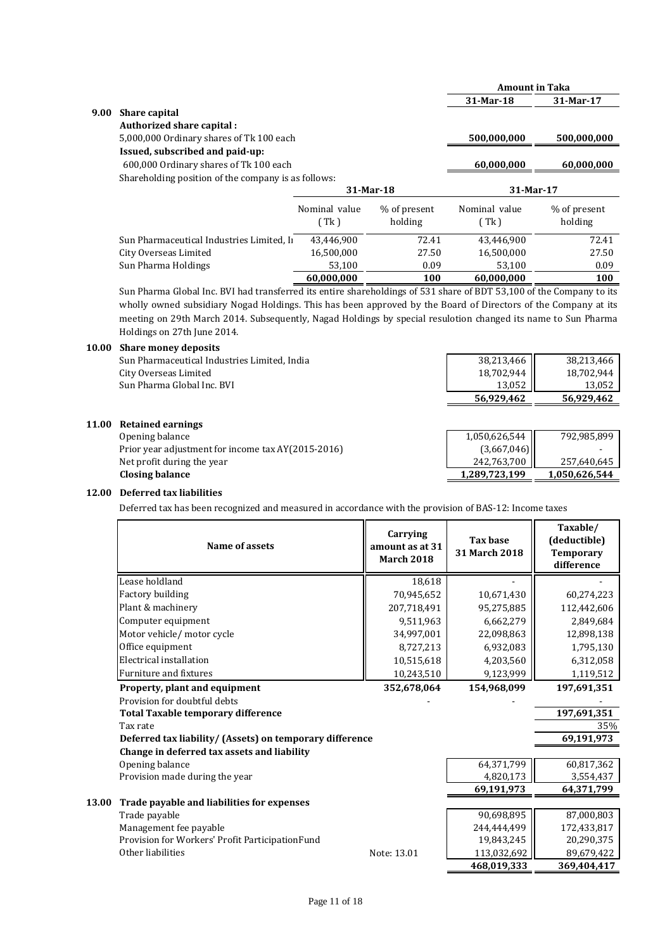|      |                                                     |               |                         | <b>Amount in Taka</b> |                         |
|------|-----------------------------------------------------|---------------|-------------------------|-----------------------|-------------------------|
|      |                                                     |               |                         | 31-Mar-18             | 31-Mar-17               |
| 9.00 | <b>Share capital</b>                                |               |                         |                       |                         |
|      | Authorized share capital:                           |               |                         |                       |                         |
|      | 5,000,000 Ordinary shares of Tk 100 each            |               |                         | 500,000,000           | 500,000,000             |
|      | Issued, subscribed and paid-up:                     |               |                         |                       |                         |
|      | 600,000 Ordinary shares of Tk 100 each              |               |                         | 60,000,000            | 60,000,000              |
|      | Shareholding position of the company is as follows: |               |                         |                       |                         |
|      |                                                     |               |                         |                       |                         |
|      |                                                     |               | $31-Mar-18$             | 31-Mar-17             |                         |
|      |                                                     | Nominal value |                         | Nominal value         |                         |
|      |                                                     | (Tk)          | % of present<br>holding | (Tk)                  | % of present<br>holding |
|      | Sun Pharmaceutical Industries Limited, In           | 43,446,900    | 72.41                   | 43.446.900            | 72.41                   |
|      | City Overseas Limited                               | 16,500,000    | 27.50                   | 16,500,000            | 27.50                   |
|      | Sun Pharma Holdings                                 | 53,100        | 0.09                    | 53.100                | 0.09                    |

Sun Pharma Global Inc. BVI had transferred its entire shareholdings of 531 share of BDT 53,100 of the Company to its wholly owned subsidiary Nogad Holdings. This has been approved by the Board of Directors of the Company at its meeting on 29th March 2014. Subsequently, Nagad Holdings by special resulotion changed its name to Sun Pharma Holdings on 27th June 2014.

### **10.00 Share money deposits**

|       | Sun Pharmaceutical Industries Limited, India       | 38,213,466    | 38,213,466    |
|-------|----------------------------------------------------|---------------|---------------|
|       | City Overseas Limited                              | 18,702,944    | 18,702,944    |
|       | Sun Pharma Global Inc. BVI                         | 13,052        | 13,052        |
|       |                                                    | 56,929,462    | 56,929,462    |
| 11.00 | <b>Retained earnings</b>                           |               |               |
|       | Opening balance                                    | 1,050,626,544 | 792,985,899   |
|       | Prior year adjustment for income tax AY(2015-2016) | (3,667,046)   |               |
|       | Net profit during the year                         | 242,763,700   | 257,640,645   |
|       | <b>Closing balance</b>                             | 1,289,723,199 | 1,050,626,544 |
|       |                                                    |               |               |

# **12.00 Deferred tax liabilities**

Deferred tax has been recognized and measured in accordance with the provision of BAS-12: Income taxes

| Name of assets                                           | Carrying<br>amount as at 31<br><b>March 2018</b> |            | <b>Tax base</b><br>31 March 2018 | Taxable/<br>(deductible)<br><b>Temporary</b><br>difference |
|----------------------------------------------------------|--------------------------------------------------|------------|----------------------------------|------------------------------------------------------------|
| Lease holdland                                           |                                                  | 18,618     |                                  |                                                            |
| Factory building                                         |                                                  | 70,945,652 | 10,671,430                       | 60,274,223                                                 |
| Plant & machinery                                        | 207,718,491                                      |            | 95,275,885                       | 112,442,606                                                |
| Computer equipment                                       |                                                  | 9,511,963  | 6,662,279                        | 2,849,684                                                  |
| Motor vehicle/ motor cycle                               |                                                  | 34,997,001 | 22,098,863                       | 12,898,138                                                 |
| Office equipment                                         |                                                  | 8,727,213  | 6,932,083                        | 1,795,130                                                  |
| Electrical installation                                  |                                                  | 10,515,618 | 4,203,560                        | 6,312,058                                                  |
| Furniture and fixtures                                   |                                                  | 10,243,510 | 9,123,999                        | 1,119,512                                                  |
| Property, plant and equipment                            | 352,678,064                                      |            | 154,968,099                      | 197,691,351                                                |
| Provision for doubtful debts                             |                                                  |            |                                  |                                                            |
| <b>Total Taxable temporary difference</b>                |                                                  |            |                                  | 197,691,351                                                |
| Tax rate                                                 |                                                  |            |                                  | 35%                                                        |
| Deferred tax liability/ (Assets) on temporary difference |                                                  |            |                                  | 69,191,973                                                 |
| Change in deferred tax assets and liability              |                                                  |            |                                  |                                                            |
| Opening balance                                          |                                                  |            | 64,371,799                       | 60,817,362                                                 |
| Provision made during the year                           |                                                  |            | 4,820,173                        | 3,554,437                                                  |
|                                                          |                                                  |            | 69,191,973                       | 64,371,799                                                 |
| 13.00<br>Trade payable and liabilities for expenses      |                                                  |            |                                  |                                                            |
| Trade payable                                            |                                                  |            | 90,698,895                       | 87,000,803                                                 |
| Management fee payable                                   |                                                  |            | 244,444,499                      | 172,433,817                                                |
| Provision for Workers' Profit ParticipationFund          |                                                  |            | 19,843,245                       | 20,290,375                                                 |
| Other liabilities                                        | Note: 13.01                                      |            | 113,032,692                      | 89,679,422                                                 |
|                                                          |                                                  |            | 468,019,333                      | 369,404,417                                                |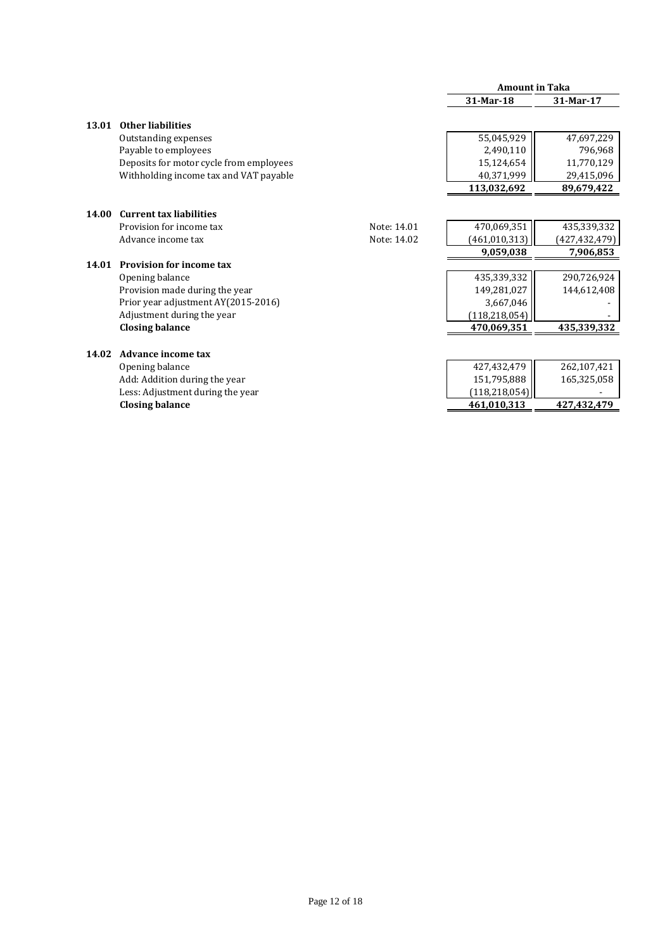|       |                                         |             | <b>Amount in Taka</b> |                 |
|-------|-----------------------------------------|-------------|-----------------------|-----------------|
|       |                                         |             | 31-Mar-18             | 31-Mar-17       |
| 13.01 | <b>Other liabilities</b>                |             |                       |                 |
|       | Outstanding expenses                    |             | 55,045,929            | 47,697,229      |
|       | Payable to employees                    |             | 2,490,110             | 796,968         |
|       | Deposits for motor cycle from employees |             | 15,124,654            | 11,770,129      |
|       | Withholding income tax and VAT payable  |             | 40,371,999            | 29,415,096      |
|       |                                         |             | 113,032,692           | 89,679,422      |
|       |                                         |             |                       |                 |
| 14.00 | <b>Current tax liabilities</b>          |             |                       |                 |
|       | Provision for income tax                | Note: 14.01 | 470,069,351           | 435,339,332     |
|       | Advance income tax                      | Note: 14.02 | (461, 010, 313)       | (427, 432, 479) |
|       |                                         |             | 9,059,038             | 7,906,853       |
| 14.01 | <b>Provision for income tax</b>         |             |                       |                 |
|       | Opening balance                         |             | 435,339,332           | 290,726,924     |
|       | Provision made during the year          |             | 149,281,027           | 144,612,408     |
|       | Prior year adjustment AY(2015-2016)     |             | 3,667,046             |                 |
|       | Adjustment during the year              |             | (118,218,054)         |                 |
|       | <b>Closing balance</b>                  |             | 470,069,351           | 435,339,332     |
|       |                                         |             |                       |                 |
| 14.02 | <b>Advance income tax</b>               |             |                       |                 |
|       | Opening balance                         |             | 427,432,479           | 262,107,421     |
|       | Add: Addition during the year           |             | 151,795,888           | 165,325,058     |
|       | Less: Adjustment during the year        |             | (118, 218, 054)       |                 |
|       | <b>Closing balance</b>                  |             | 461,010,313           | 427,432,479     |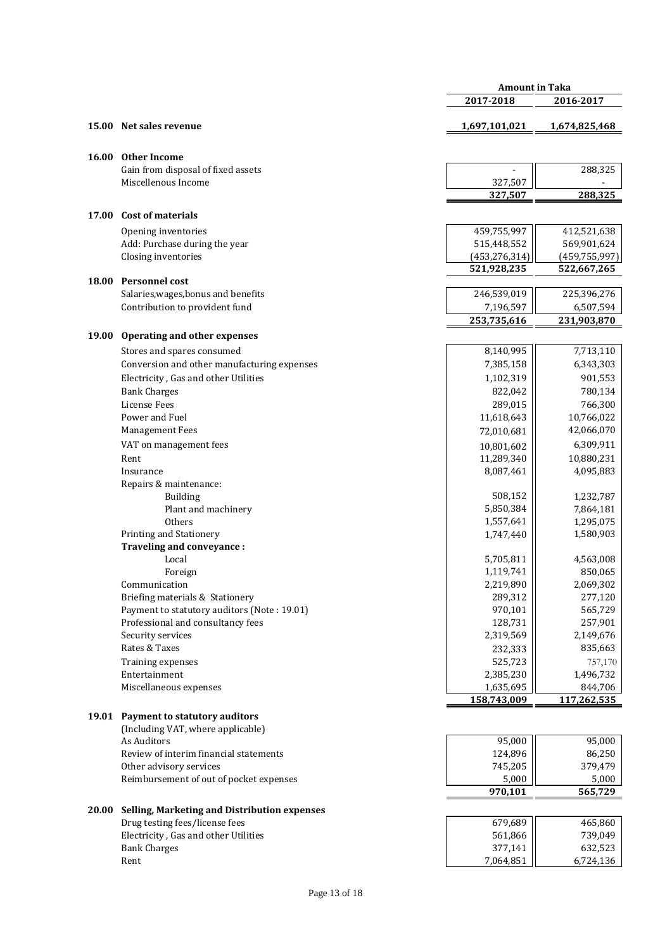|       |                                                                                | <b>Amount in Taka</b>          |                                |
|-------|--------------------------------------------------------------------------------|--------------------------------|--------------------------------|
|       |                                                                                | 2017-2018                      | 2016-2017                      |
| 15.00 | Net sales revenue                                                              | 1,697,101,021                  | 1,674,825,468                  |
|       |                                                                                |                                |                                |
| 16.00 | <b>Other Income</b>                                                            |                                |                                |
|       | Gain from disposal of fixed assets                                             |                                | 288,325                        |
|       | Miscellenous Income                                                            | 327,507                        |                                |
|       |                                                                                | 327,507                        | 288,325                        |
| 17.00 | <b>Cost of materials</b>                                                       |                                |                                |
|       |                                                                                |                                |                                |
|       | Opening inventories                                                            | 459,755,997                    | 412,521,638                    |
|       | Add: Purchase during the year                                                  | 515,448,552                    | 569,901,624                    |
|       | Closing inventories                                                            | (453, 276, 314)<br>521,928,235 | (459, 755, 997)<br>522,667,265 |
| 18.00 | Personnel cost                                                                 |                                |                                |
|       | Salaries, wages, bonus and benefits                                            | 246,539,019                    | 225,396,276                    |
|       | Contribution to provident fund                                                 | 7,196,597                      | 6,507,594                      |
|       |                                                                                | 253,735,616                    | 231,903,870                    |
|       |                                                                                |                                |                                |
| 19.00 | Operating and other expenses                                                   |                                |                                |
|       | Stores and spares consumed                                                     | 8,140,995                      | 7,713,110                      |
|       | Conversion and other manufacturing expenses                                    | 7,385,158                      | 6,343,303                      |
|       | Electricity, Gas and other Utilities                                           | 1,102,319                      | 901,553                        |
|       | <b>Bank Charges</b>                                                            | 822,042                        | 780,134                        |
|       | <b>License Fees</b>                                                            | 289,015                        | 766,300                        |
|       | Power and Fuel                                                                 | 11,618,643                     | 10,766,022                     |
|       | Management Fees                                                                | 72,010,681                     | 42,066,070                     |
|       | VAT on management fees                                                         | 10,801,602                     | 6,309,911                      |
|       | Rent                                                                           | 11,289,340                     | 10,880,231                     |
|       | Insurance                                                                      | 8,087,461                      | 4,095,883                      |
|       | Repairs & maintenance:                                                         |                                |                                |
|       | Building                                                                       | 508,152                        | 1,232,787                      |
|       | Plant and machinery                                                            | 5,850,384                      | 7,864,181                      |
|       | Others                                                                         | 1,557,641                      | 1,295,075                      |
|       | Printing and Stationery                                                        | 1,747,440                      | 1,580,903                      |
|       | Traveling and conveyance :                                                     |                                |                                |
|       | Local                                                                          | 5,705,811                      | 4,563,008                      |
|       | Foreign                                                                        | 1,119,741                      | 850,065                        |
|       | Communication<br>Briefing materials & Stationery                               | 2,219,890                      | 2,069,302<br>277,120           |
|       | Payment to statutory auditors (Note: 19.01)                                    | 289,312<br>970,101             | 565,729                        |
|       | Professional and consultancy fees                                              | 128,731                        | 257,901                        |
|       | Security services                                                              | 2,319,569                      | 2,149,676                      |
|       | Rates & Taxes                                                                  | 232,333                        | 835,663                        |
|       | Training expenses                                                              | 525,723                        | 757,170                        |
|       | Entertainment                                                                  | 2,385,230                      | 1,496,732                      |
|       | Miscellaneous expenses                                                         | 1,635,695                      | 844,706                        |
|       |                                                                                | 158,743,009                    | 117,262,535                    |
|       | 19.01 Payment to statutory auditors                                            |                                |                                |
|       | (Including VAT, where applicable)                                              |                                |                                |
|       | As Auditors                                                                    | 95,000                         | 95,000                         |
|       | Review of interim financial statements                                         | 124,896                        | 86,250                         |
|       | Other advisory services                                                        | 745,205                        | 379,479                        |
|       | Reimbursement of out of pocket expenses                                        | 5,000                          | 5,000                          |
|       |                                                                                | 970,101                        | 565,729                        |
|       |                                                                                |                                |                                |
| 20.00 | Selling, Marketing and Distribution expenses<br>Drug testing fees/license fees | 679,689                        | 465,860                        |
|       | Electricity, Gas and other Utilities                                           | 561,866                        | 739,049                        |
|       | <b>Bank Charges</b>                                                            | 377,141                        | 632,523                        |
|       | Rent                                                                           | 7,064,851                      | 6,724,136                      |
|       |                                                                                |                                |                                |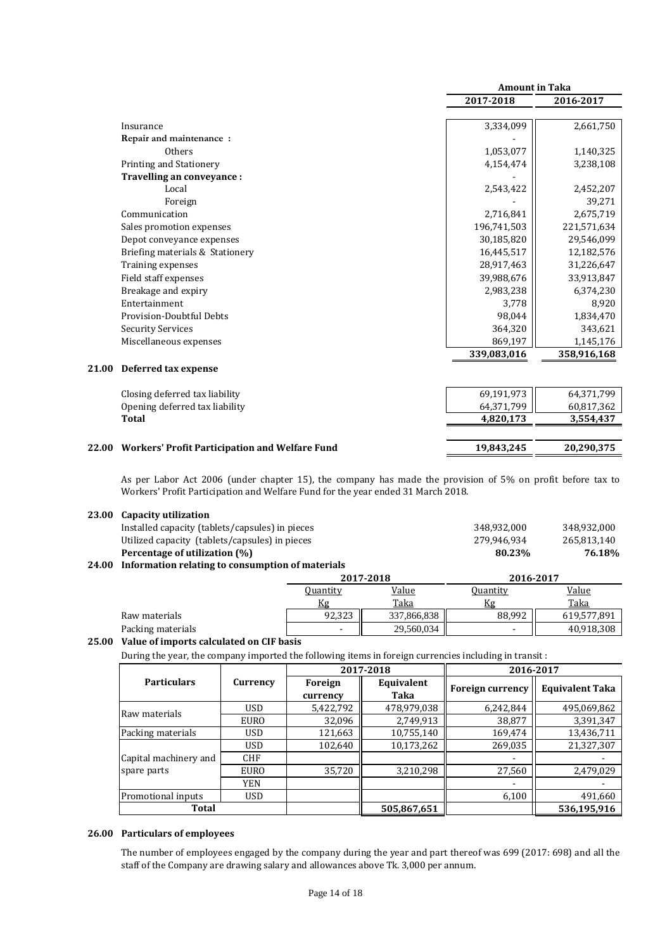|       |                                                       | <b>Amount in Taka</b> |             |
|-------|-------------------------------------------------------|-----------------------|-------------|
|       |                                                       | 2017-2018             | 2016-2017   |
|       |                                                       |                       |             |
|       | Insurance                                             | 3,334,099             | 2,661,750   |
|       | Repair and maintenance:                               |                       |             |
|       | Others                                                | 1,053,077             | 1,140,325   |
|       | Printing and Stationery                               | 4,154,474             | 3,238,108   |
|       | Travelling an conveyance :                            |                       |             |
|       | Local                                                 | 2,543,422             | 2,452,207   |
|       | Foreign                                               |                       | 39,271      |
|       | Communication                                         | 2,716,841             | 2,675,719   |
|       | Sales promotion expenses                              | 196,741,503           | 221,571,634 |
|       | Depot conveyance expenses                             | 30,185,820            | 29,546,099  |
|       | Briefing materials & Stationery                       | 16,445,517            | 12,182,576  |
|       | Training expenses                                     | 28,917,463            | 31,226,647  |
|       | Field staff expenses                                  | 39,988,676            | 33,913,847  |
|       | Breakage and expiry                                   | 2,983,238             | 6,374,230   |
|       | Entertainment                                         | 3,778                 | 8,920       |
|       | Provision-Doubtful Debts                              | 98,044                | 1,834,470   |
|       | <b>Security Services</b>                              | 364,320               | 343,621     |
|       | Miscellaneous expenses                                | 869,197               | 1,145,176   |
|       |                                                       | 339,083,016           | 358,916,168 |
| 21.00 | Deferred tax expense                                  |                       |             |
|       | Closing deferred tax liability                        | 69,191,973            | 64,371,799  |
|       | Opening deferred tax liability                        | 64,371,799            | 60,817,362  |
|       | <b>Total</b>                                          | 4,820,173             | 3,554,437   |
|       |                                                       |                       |             |
| 22.00 | <b>Workers' Profit Participation and Welfare Fund</b> | 19,843,245            | 20,290,375  |

As per Labor Act 2006 (under chapter 15), the company has made the provision of 5% on profit before tax to Workers' Profit Participation and Welfare Fund for the year ended 31 March 2018.

| 23.00 | <b>Capacity utilization</b>                      |                          |             |                          |             |
|-------|--------------------------------------------------|--------------------------|-------------|--------------------------|-------------|
|       | Installed capacity (tablets/capsules) in pieces  |                          |             | 348.932.000              | 348,932,000 |
|       | Utilized capacity (tablets/capsules) in pieces   | 279.946.934              | 265,813,140 |                          |             |
|       | Percentage of utilization (%)                    |                          |             | 80.23%                   | 76.18%      |
| 24.00 | Information relating to consumption of materials |                          |             |                          |             |
|       | 2017-2018                                        |                          |             | 2016-2017                |             |
|       |                                                  | <b>Quantity</b>          | Value       | <b>Quantity</b>          | Value       |
|       |                                                  | Kg                       | Taka        | Kg                       | Taka        |
|       | Raw materials                                    | 92,323                   | 337,866,838 | 88,992                   | 619,577,891 |
|       | Packing materials                                | $\overline{\phantom{a}}$ | 29,560,034  | $\overline{\phantom{a}}$ | 40,918,308  |

### **25.00 Value of imports calculated on CIF basis**

During the year, the company imported the following items in foreign currencies including in transit :

|                       |             |                     | 2017-2018          | 2016-2017               |                        |  |
|-----------------------|-------------|---------------------|--------------------|-------------------------|------------------------|--|
| <b>Particulars</b>    | Currency    | Foreign<br>currency | Equivalent<br>Taka | <b>Foreign currency</b> | <b>Equivalent Taka</b> |  |
| Raw materials         | <b>USD</b>  | 5,422,792           | 478,979,038        | 6,242,844               | 495,069,862            |  |
|                       | <b>EURO</b> | 32,096              | 2,749,913          | 38,877                  | 3,391,347              |  |
| Packing materials     | <b>USD</b>  | 121,663             | 10,755,140         | 169,474                 | 13,436,711             |  |
|                       | <b>USD</b>  | 102,640             | 10,173,262         | 269,035                 | 21,327,307             |  |
| Capital machinery and | <b>CHF</b>  |                     |                    |                         |                        |  |
| spare parts           | <b>EURO</b> | 35,720              | 3,210,298          | 27,560                  | 2,479,029              |  |
|                       | <b>YEN</b>  |                     |                    |                         |                        |  |
| Promotional inputs    | <b>USD</b>  |                     |                    | 6,100                   | 491,660                |  |
| <b>Total</b>          |             |                     | 505,867,651        |                         | 536,195,916            |  |

## **26.00 Particulars of employees**

The number of employees engaged by the company during the year and part thereof was 699 (2017: 698) and all the staff of the Company are drawing salary and allowances above Tk. 3,000 per annum.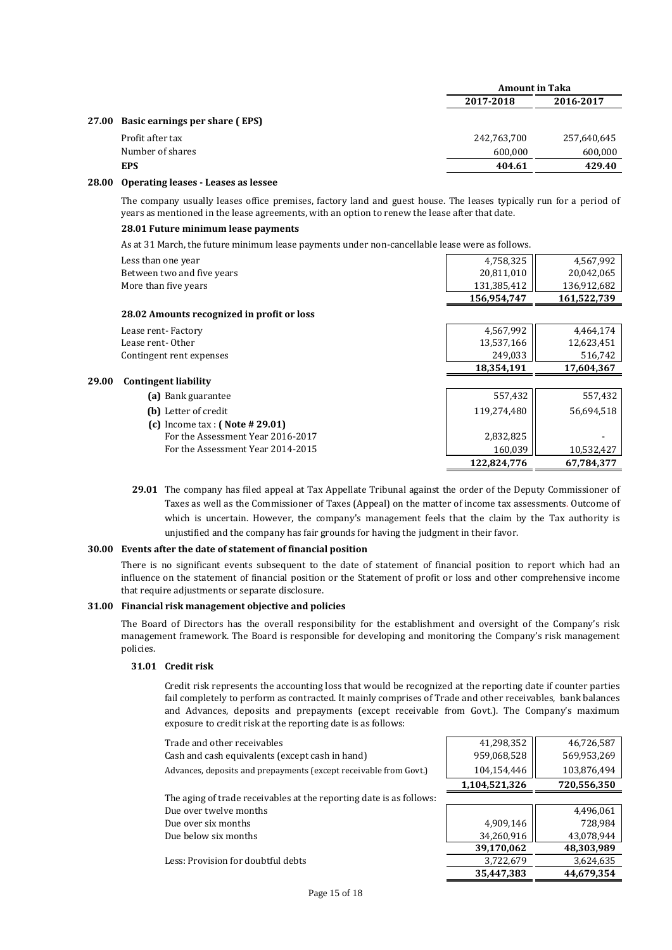| <b>Amount in Taka</b> |             |  |
|-----------------------|-------------|--|
| 2017-2018             | 2016-2017   |  |
|                       |             |  |
| 242,763,700           | 257,640,645 |  |
| 600,000               | 600,000     |  |
| 404.61                | 429.40      |  |
|                       |             |  |

### **28.00 Operating leases - Leases as lessee**

 **29.00**

The company usually leases office premises, factory land and guest house. The leases typically run for a period of years as mentioned in the lease agreements, with an option to renew the lease after that date.

### **28.01 Future minimum lease payments**

As at 31 March, the future minimum lease payments under non-cancellable lease were as follows.

| Less than one year                         | 4,758,325   | 4,567,992   |
|--------------------------------------------|-------------|-------------|
| Between two and five years                 | 20,811,010  | 20,042,065  |
| More than five years                       | 131,385,412 | 136,912,682 |
|                                            | 156,954,747 | 161,522,739 |
| 28.02 Amounts recognized in profit or loss |             |             |
| Lease rent-Factory                         | 4,567,992   | 4,464,174   |
| Lease rent-Other                           | 13,537,166  | 12,623,451  |
| Contingent rent expenses                   | 249,033     | 516,742     |
|                                            | 18,354,191  | 17,604,367  |
| <b>Contingent liability</b>                |             |             |
| (a) Bank guarantee                         | 557,432     | 557,432     |
| (b) Letter of credit                       | 119,274,480 | 56,694,518  |
| (c) Income tax: $( Note # 29.01)$          |             |             |
| For the Assessment Year 2016-2017          | 2,832,825   |             |
| For the Assessment Year 2014-2015          | 160,039     | 10,532,427  |
|                                            | 122,824,776 | 67,784,377  |

 **29.01**  The company has filed appeal at Tax Appellate Tribunal against the order of the Deputy Commissioner of Taxes as well as the Commissioner of Taxes (Appeal) on the matter of income tax assessments. Outcome of which is uncertain. However, the company's management feels that the claim by the Tax authority is unjustified and the company has fair grounds for having the judgment in their favor.

### **30.00 Events after the date of statement of financial position**

There is no significant events subsequent to the date of statement of financial position to report which had an influence on the statement of financial position or the Statement of profit or loss and other comprehensive income that require adjustments or separate disclosure.

#### **31.00 Financial risk management objective and policies**

The Board of Directors has the overall responsibility for the establishment and oversight of the Company's risk management framework. The Board is responsible for developing and monitoring the Company's risk management policies.

### **31.01 Credit risk**

Credit risk represents the accounting loss that would be recognized at the reporting date if counter parties fail completely to perform as contracted. It mainly comprises of Trade and other receivables, bank balances and Advances, deposits and prepayments (except receivable from Govt.). The Company's maximum exposure to credit risk at the reporting date is as follows:

| Trade and other receivables                                         | 41,298,352    | 46,726,587  |
|---------------------------------------------------------------------|---------------|-------------|
| Cash and cash equivalents (except cash in hand)                     | 959,068,528   | 569,953,269 |
| Advances, deposits and prepayments (except receivable from Govt.)   | 104,154,446   | 103,876,494 |
|                                                                     | 1,104,521,326 | 720,556,350 |
| The aging of trade receivables at the reporting date is as follows: |               |             |
| Due over twelve months                                              |               | 4,496,061   |
| Due over six months                                                 | 4,909,146     | 728,984     |
| Due below six months                                                | 34,260,916    | 43,078,944  |
|                                                                     | 39,170,062    | 48,303,989  |
| Less: Provision for doubtful debts                                  | 3,722,679     | 3,624,635   |
|                                                                     | 35,447,383    | 44,679,354  |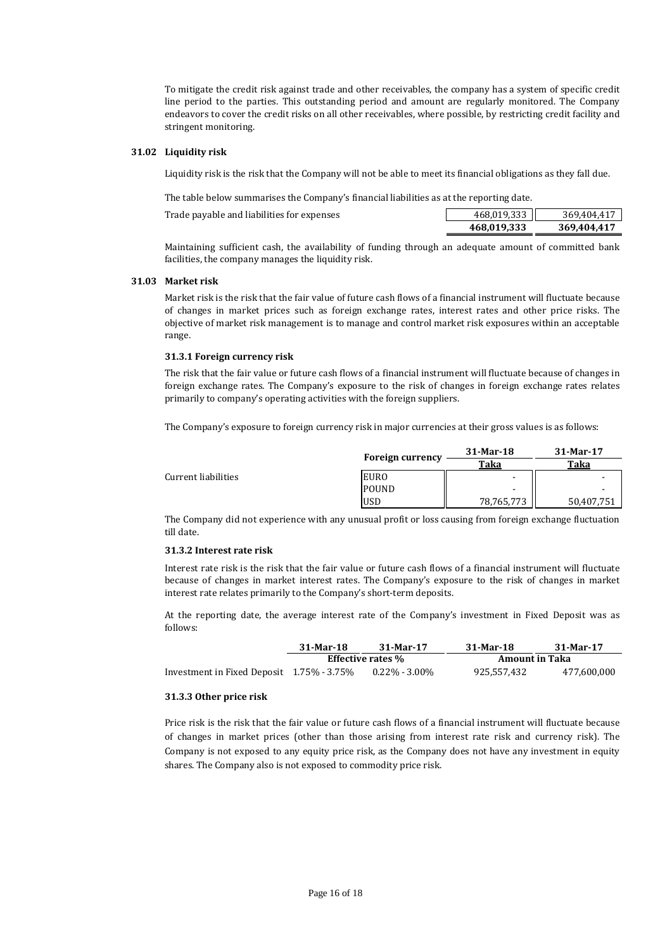To mitigate the credit risk against trade and other receivables, the company has a system of specific credit line period to the parties. This outstanding period and amount are regularly monitored. The Company endeavors to cover the credit risks on all other receivables, where possible, by restricting credit facility and stringent monitoring.

### **31.02 Liquidity risk**

Liquidity risk is the risk that the Company will not be able to meet its financial obligations as they fall due.

The table below summarises the Company's financial liabilities as at the reporting date.

|                                            | 468.019.333    | 369.404.417 |
|--------------------------------------------|----------------|-------------|
| Trade payable and liabilities for expenses | 468.019.333 ll | 369.404.417 |

Maintaining sufficient cash, the availability of funding through an adequate amount of committed bank facilities, the company manages the liquidity risk.

### **31.03 Market risk**

Market risk is the risk that the fair value of future cash flows of a financial instrument will fluctuate because of changes in market prices such as foreign exchange rates, interest rates and other price risks. The objective of market risk management is to manage and control market risk exposures within an acceptable range.

#### **31.3.1 Foreign currency risk**

The risk that the fair value or future cash flows of a financial instrument will fluctuate because of changes in foreign exchange rates. The Company's exposure to the risk of changes in foreign exchange rates relates primarily to company's operating activities with the foreign suppliers.

The Company's exposure to foreign currency risk in major currencies at their gross values is as follows:

|                     | <b>Foreign currency</b> | 31-Mar-18                | 31-Mar-17      |  |
|---------------------|-------------------------|--------------------------|----------------|--|
|                     |                         | Taka                     |                |  |
| Current liabilities | <b>EURO</b>             | $\overline{\phantom{a}}$ | $\blacksquare$ |  |
|                     | <b>POUND</b>            | -                        |                |  |
|                     | <b>USD</b>              | 78,765,773               | 50.407.751     |  |

The Company did not experience with any unusual profit or loss causing from foreign exchange fluctuation till date.

#### **31.3.2 Interest rate risk**

Interest rate risk is the risk that the fair value or future cash flows of a financial instrument will fluctuate because of changes in market interest rates. The Company's exposure to the risk of changes in market interest rate relates primarily to the Company's short-term deposits.

At the reporting date, the average interest rate of the Company's investment in Fixed Deposit was as follows:

|                                           | 31-Mar-18                | 31-Mar-17        | 31-Mar-18             | 31-Mar-17   |
|-------------------------------------------|--------------------------|------------------|-----------------------|-------------|
|                                           | <b>Effective rates %</b> |                  | <b>Amount in Taka</b> |             |
| Investment in Fixed Deposit 1.75% - 3.75% |                          | $0.22\%$ - 3.00% | 925.557.432           | 477.600.000 |

#### **31.3.3 Other price risk**

Price risk is the risk that the fair value or future cash flows of a financial instrument will fluctuate because of changes in market prices (other than those arising from interest rate risk and currency risk). The Company is not exposed to any equity price risk, as the Company does not have any investment in equity shares. The Company also is not exposed to commodity price risk.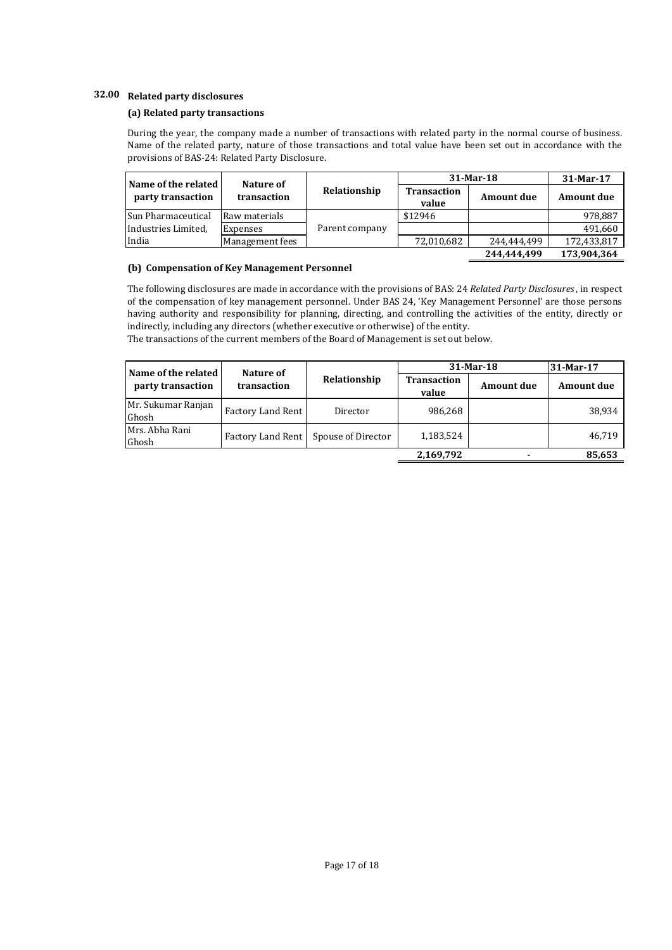# **32.00 Related party disclosures**

### **(a) Related party transactions**

During the year, the company made a number of transactions with related party in the normal course of business. Name of the related party, nature of those transactions and total value have been set out in accordance with the provisions of BAS-24: Related Party Disclosure.

| Name of the related | Nature of       |                |                             | $31-Mar-18$       | 31-Mar-17         |
|---------------------|-----------------|----------------|-----------------------------|-------------------|-------------------|
| party transaction   | transaction     | Relationship   | <b>Transaction</b><br>value | <b>Amount due</b> | <b>Amount due</b> |
| Sun Pharmaceutical  | Raw materials   |                | \$12946                     |                   | 978,887           |
| Industries Limited. | Expenses        | Parent company |                             |                   | 491,660           |
| India               | Management fees |                | 72,010,682                  | 244.444.499       | 172,433,817       |
|                     |                 |                |                             | 244.444.499       | 173,904,364       |

#### **(b) Compensation of Key Management Personnel**

The following disclosures are made in accordance with the provisions of BAS: 24 *Related Party Disclosures*, in respect of the compensation of key management personnel. Under BAS 24, 'Key Management Personnel' are those persons having authority and responsibility for planning, directing, and controlling the activities of the entity, directly or indirectly, including any directors (whether executive or otherwise) of the entity.

The transactions of the current members of the Board of Management is set out below.

| Name of the related         | Nature of                |                    | 31-Mar-18                   |                   | 31-Mar-17         |
|-----------------------------|--------------------------|--------------------|-----------------------------|-------------------|-------------------|
| party transaction           | transaction              | Relationship       | <b>Transaction</b><br>value | <b>Amount due</b> | <b>Amount due</b> |
| Mr. Sukumar Ranjan<br>Ghosh | <b>Factory Land Rent</b> | Director           | 986.268                     |                   | 38,934            |
| Mrs. Abha Rani<br>Ghosh     | <b>Factory Land Rent</b> | Spouse of Director | 1,183,524                   |                   | 46,719            |
|                             |                          |                    | 2,169,792                   |                   | 85,653            |